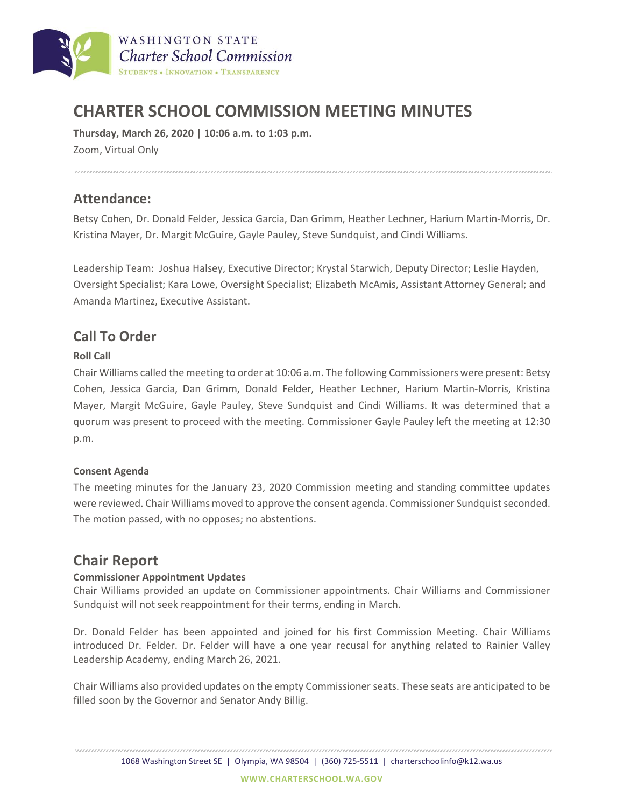

# **CHARTER SCHOOL COMMISSION MEETING MINUTES**

**Thursday, March 26, 2020 | 10:06 a.m. to 1:03 p.m.** Zoom, Virtual Only

### **Attendance:**

Betsy Cohen, Dr. Donald Felder, Jessica Garcia, Dan Grimm, Heather Lechner, Harium Martin-Morris, Dr. Kristina Mayer, Dr. Margit McGuire, Gayle Pauley, Steve Sundquist, and Cindi Williams.

Leadership Team: Joshua Halsey, Executive Director; Krystal Starwich, Deputy Director; Leslie Hayden, Oversight Specialist; Kara Lowe, Oversight Specialist; Elizabeth McAmis, Assistant Attorney General; and Amanda Martinez, Executive Assistant.

### **Call To Order**

#### **Roll Call**

Chair Williams called the meeting to order at 10:06 a.m. The following Commissioners were present: Betsy Cohen, Jessica Garcia, Dan Grimm, Donald Felder, Heather Lechner, Harium Martin-Morris, Kristina Mayer, Margit McGuire, Gayle Pauley, Steve Sundquist and Cindi Williams. It was determined that a quorum was present to proceed with the meeting. Commissioner Gayle Pauley left the meeting at 12:30 p.m.

#### **Consent Agenda**

The meeting minutes for the January 23, 2020 Commission meeting and standing committee updates were reviewed. Chair Williams moved to approve the consent agenda. Commissioner Sundquist seconded. The motion passed, with no opposes; no abstentions.

### **Chair Report**

#### **Commissioner Appointment Updates**

Chair Williams provided an update on Commissioner appointments. Chair Williams and Commissioner Sundquist will not seek reappointment for their terms, ending in March.

Dr. Donald Felder has been appointed and joined for his first Commission Meeting. Chair Williams introduced Dr. Felder. Dr. Felder will have a one year recusal for anything related to Rainier Valley Leadership Academy, ending March 26, 2021.

Chair Williams also provided updates on the empty Commissioner seats. These seats are anticipated to be filled soon by the Governor and Senator Andy Billig.

1068 Washington Street SE | Olympia, WA 98504 | (360) 725-5511 | charterschoolinfo@k12.wa.us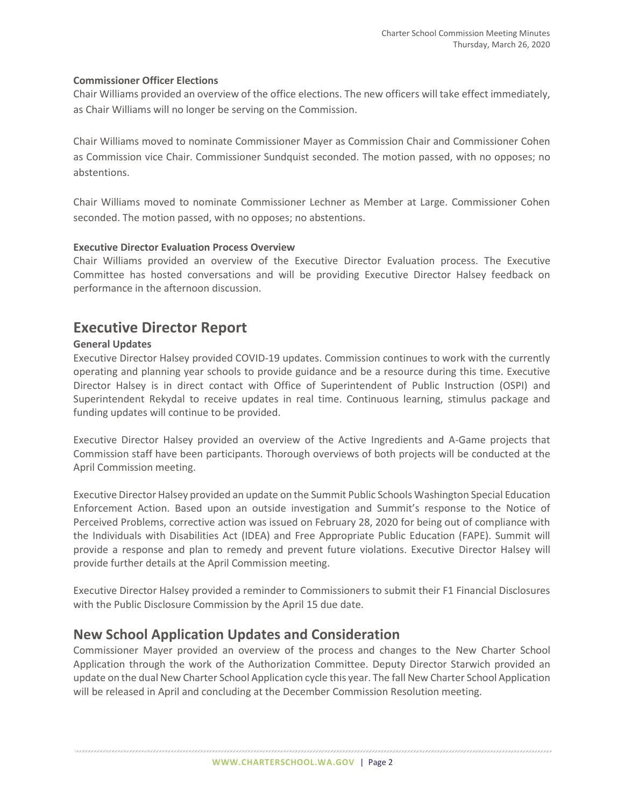#### **Commissioner Officer Elections**

Chair Williams provided an overview of the office elections. The new officers will take effect immediately, as Chair Williams will no longer be serving on the Commission.

Chair Williams moved to nominate Commissioner Mayer as Commission Chair and Commissioner Cohen as Commission vice Chair. Commissioner Sundquist seconded. The motion passed, with no opposes; no abstentions.

Chair Williams moved to nominate Commissioner Lechner as Member at Large. Commissioner Cohen seconded. The motion passed, with no opposes; no abstentions.

#### **Executive Director Evaluation Process Overview**

Chair Williams provided an overview of the Executive Director Evaluation process. The Executive Committee has hosted conversations and will be providing Executive Director Halsey feedback on performance in the afternoon discussion.

### **Executive Director Report**

#### **General Updates**

Executive Director Halsey provided COVID-19 updates. Commission continues to work with the currently operating and planning year schools to provide guidance and be a resource during this time. Executive Director Halsey is in direct contact with Office of Superintendent of Public Instruction (OSPI) and Superintendent Rekydal to receive updates in real time. Continuous learning, stimulus package and funding updates will continue to be provided.

Executive Director Halsey provided an overview of the Active Ingredients and A-Game projects that Commission staff have been participants. Thorough overviews of both projects will be conducted at the April Commission meeting.

Executive Director Halsey provided an update on the Summit Public Schools Washington Special Education Enforcement Action. Based upon an outside investigation and Summit's response to the Notice of Perceived Problems, corrective action was issued on February 28, 2020 for being out of compliance with the Individuals with Disabilities Act (IDEA) and Free Appropriate Public Education (FAPE). Summit will provide a response and plan to remedy and prevent future violations. Executive Director Halsey will provide further details at the April Commission meeting.

Executive Director Halsey provided a reminder to Commissioners to submit their F1 Financial Disclosures with the Public Disclosure Commission by the April 15 due date.

### **New School Application Updates and Consideration**

Commissioner Mayer provided an overview of the process and changes to the New Charter School Application through the work of the Authorization Committee. Deputy Director Starwich provided an update on the dual New Charter School Application cycle this year. The fall New Charter School Application will be released in April and concluding at the December Commission Resolution meeting.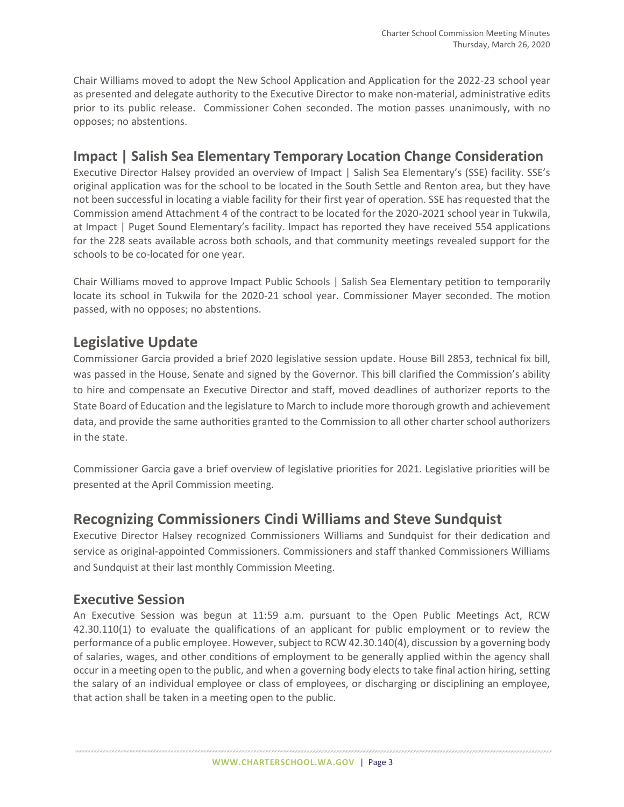Chair Williams moved to adopt the New School Application and Application for the 2022-23 school year as presented and delegate authority to the Executive Director to make non-material, administrative edits prior to its public release. Commissioner Cohen seconded. The motion passes unanimously, with no opposes; no abstentions.

## **Impact | Salish Sea Elementary Temporary Location Change Consideration**

Executive Director Halsey provided an overview of Impact | Salish Sea Elementary's (SSE) facility. SSE's original application was for the school to be located in the South Settle and Renton area, but they have not been successful in locating a viable facility for their first year of operation. SSE has requested that the Commission amend Attachment 4 of the contract to be located for the 2020-2021 school year in Tukwila, at Impact | Puget Sound Elementary's facility. Impact has reported they have received 554 applications for the 228 seats available across both schools, and that community meetings revealed support for the schools to be co-located for one year.

Chair Williams moved to approve Impact Public Schools | Salish Sea Elementary petition to temporarily locate its school in Tukwila for the 2020-21 school year. Commissioner Mayer seconded. The motion passed, with no opposes; no abstentions.

# **Legislative Update**

Commissioner Garcia provided a brief 2020 legislative session update. House Bill 2853, technical fix bill, was passed in the House, Senate and signed by the Governor. This bill clarified the Commission's ability to hire and compensate an Executive Director and staff, moved deadlines of authorizer reports to the State Board of Education and the legislature to March to include more thorough growth and achievement data, and provide the same authorities granted to the Commission to all other charter school authorizers in the state.

Commissioner Garcia gave a brief overview of legislative priorities for 2021. Legislative priorities will be presented at the April Commission meeting.

# **Recognizing Commissioners Cindi Williams and Steve Sundquist**

Executive Director Halsey recognized Commissioners Williams and Sundquist for their dedication and service as original-appointed Commissioners. Commissioners and staff thanked Commissioners Williams and Sundquist at their last monthly Commission Meeting.

### **Executive Session**

An Executive Session was begun at 11:59 a.m. pursuant to the Open Public Meetings Act, RCW 42.30.110(1) to evaluate the qualifications of an applicant for public employment or to review the performance of a public employee. However, subject to RCW 42.30.140(4), discussion by a governing body of salaries, wages, and other conditions of employment to be generally applied within the agency shall occur in a meeting open to the public, and when a governing body elects to take final action hiring, setting the salary of an individual employee or class of employees, or discharging or disciplining an employee, that action shall be taken in a meeting open to the public.